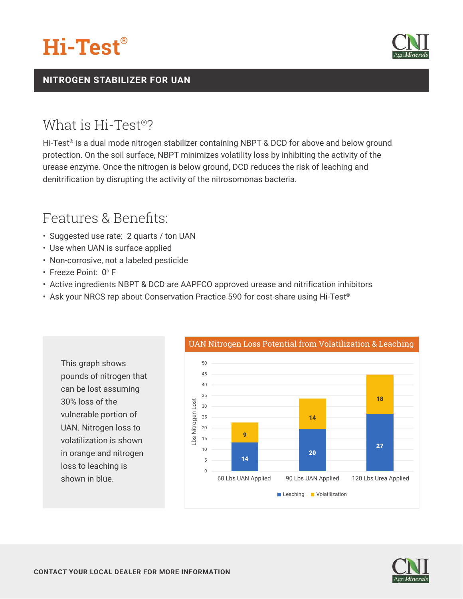



### **NITROGEN STABILIZER FOR UAN**

### What is Hi-Test®?

Hi-Test<sup>®</sup> is a dual mode nitrogen stabilizer containing NBPT & DCD for above and below ground protection. On the soil surface, NBPT minimizes volatility loss by inhibiting the activity of the urease enzyme. Once the nitrogen is below ground, DCD reduces the risk of leaching and denitrification by disrupting the activity of the nitrosomonas bacteria.

## Features & Benefits:

- Suggested use rate: 2 quarts / ton UAN
- Use when UAN is surface applied
- Non-corrosive, not a labeled pesticide
- Freeze Point: 0° F

This graph shows

30% loss of the

vulnerable portion of UAN. Nitrogen loss to volatilization is shown in orange and nitrogen

loss to leaching is shown in blue.

pounds of nitrogen that can be lost assuming

- Active ingredients NBPT & DCD are AAPFCO approved urease and nitrification inhibitors
- Ask your NRCS rep about Conservation Practice 590 for cost-share using Hi-Test®



#### UAN Nitrogen Loss Potential from Volatilization & Leaching